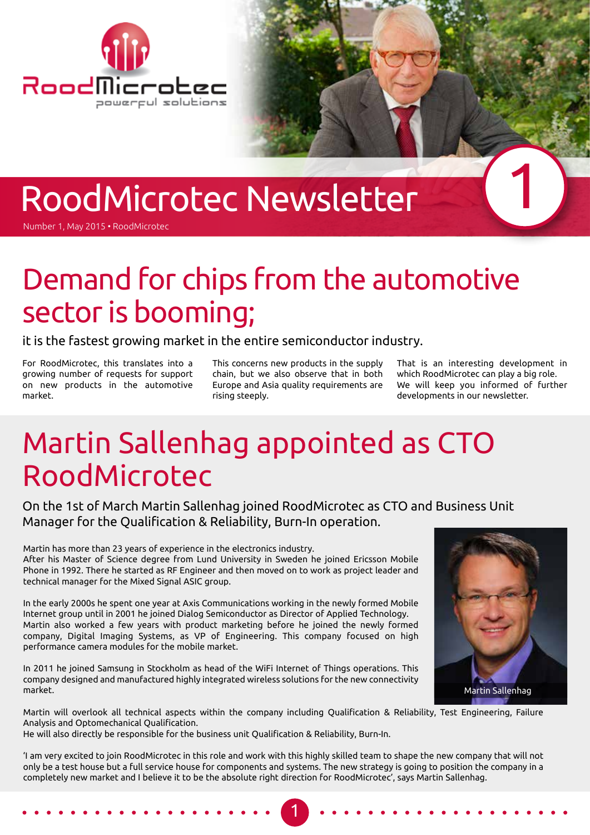

# RoodMicrotec Newsletter

Number 1, May 2015 • RoodMicrotec

## Demand for chips from the automotive sector is booming;

it is the fastest growing market in the entire semiconductor industry.

For RoodMicrotec, this translates into a growing number of requests for support on new products in the automotive market.

This concerns new products in the supply chain, but we also observe that in both Europe and Asia quality requirements are rising steeply.

That is an interesting development in which RoodMicrotec can play a big role. We will keep you informed of further developments in our newsletter.

1

## Martin Sallenhag appointed as CTO RoodMicrotec

On the 1st of March Martin Sallenhag joined RoodMicrotec as CTO and Business Unit Manager for the Qualification & Reliability, Burn-In operation.

Martin has more than 23 years of experience in the electronics industry.

After his Master of Science degree from Lund University in Sweden he joined Ericsson Mobile Phone in 1992. There he started as RF Engineer and then moved on to work as project leader and technical manager for the Mixed Signal ASIC group.

In the early 2000s he spent one year at Axis Communications working in the newly formed Mobile Internet group until in 2001 he joined Dialog Semiconductor as Director of Applied Technology. Martin also worked a few years with product marketing before he joined the newly formed company, Digital Imaging Systems, as VP of Engineering. This company focused on high performance camera modules for the mobile market.

In 2011 he joined Samsung in Stockholm as head of the WiFi Internet of Things operations. This company designed and manufactured highly integrated wireless solutions for the new connectivity market.



Martin will overlook all technical aspects within the company including Qualification & Reliability, Test Engineering, Failure Analysis and Optomechanical Qualification.

He will also directly be responsible for the business unit Qualification & Reliability, Burn-In.

'I am very excited to join RoodMicrotec in this role and work with this highly skilled team to shape the new company that will not only be a test house but a full service house for components and systems. The new strategy is going to position the company in a completely new market and I believe it to be the absolute right direction for RoodMicrotec', says Martin Sallenhag.

1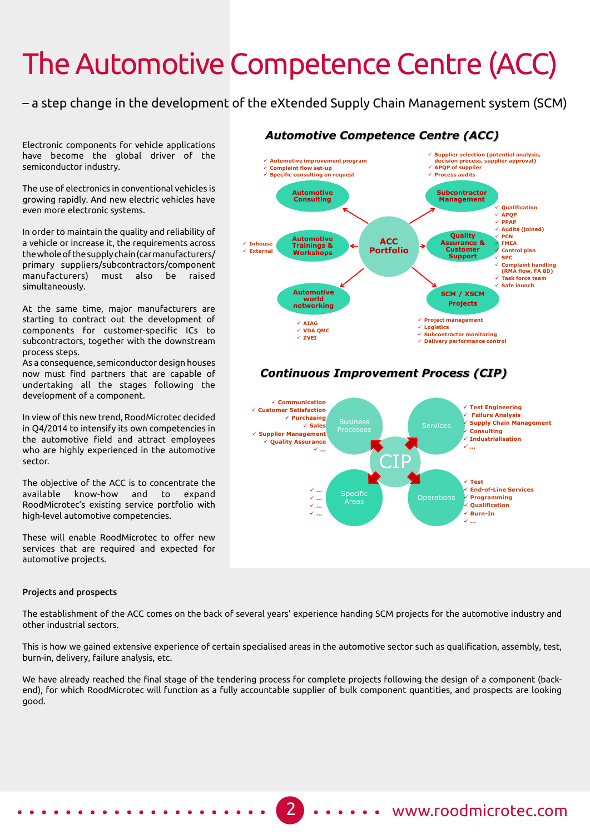# The Automotive Competence Centre (ACC)

– a step change in the development of the eXtended Supply Chain Management system (SCM)

Electronic components for vehicle applications have become the global driver of the semiconductor industry.

The use of electronics in conventional vehicles is growing rapidly. And new electric vehicles have even more electronic systems.

In order to maintain the quality and reliability of a vehicle or increase it, the requirements across the whole of the supply chain (car manufacturers/ primary suppliers/subcontractors/component manufacturers) must also be raised simultaneously.

At the same time, major manufacturers are starting to contract out the development of components for customer-specific ICs to subcontractors, together with the downstream process steps.

As a consequence, semiconductor design houses now must find partners that are capable of undertaking all the stages following the development of a component.

In view of this new trend, RoodMicrotec decided in Q4/2014 to intensify its own competencies in the automotive field and attract employees who are highly experienced in the automotive sector.

The objective of the ACC is to concentrate the available know-how and to expand RoodMicrotec's existing service portfolio with high-level automotive competencies.

These will enable RoodMicrotec to offer new services that are required and expected for automotive projects.

#### Projects and prospects

The establishment of the ACC comes on the back of several years' experience handing SCM projects for the automotive industry and other industrial sectors.

This is how we gained extensive experience of certain specialised areas in the automotive sector such as qualification, assembly, test, burn-in, delivery, failure analysis, etc.

We have already reached the final stage of the tendering process for complete projects following the design of a component (backend), for which RoodMicrotec will function as a fully accountable supplier of bulk component quantities, and prospects are looking good.

#### *Automotive Competence Centre (ACC)*



#### 2 ..... www.roodmicrotec.com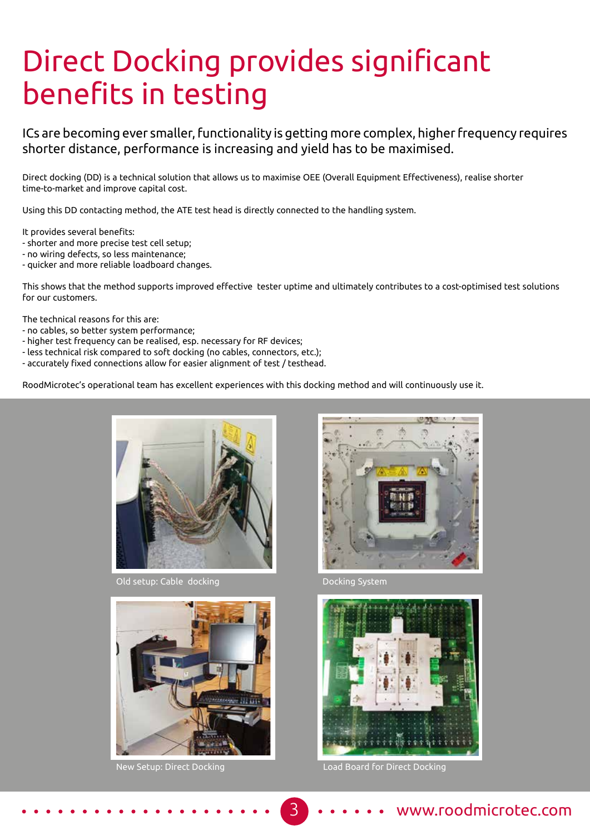# Direct Docking provides significant benefits in testing

ICs are becoming ever smaller, functionality is getting more complex, higher frequency requires shorter distance, performance is increasing and yield has to be maximised.

Direct docking (DD) is a technical solution that allows us to maximise OEE (Overall Equipment Effectiveness), realise shorter time-to-market and improve capital cost.

Using this DD contacting method, the ATE test head is directly connected to the handling system.

It provides several benefits:

- shorter and more precise test cell setup;
- no wiring defects, so less maintenance;
- quicker and more reliable loadboard changes.

This shows that the method supports improved effective tester uptime and ultimately contributes to a cost-optimised test solutions for our customers.

The technical reasons for this are:

- no cables, so better system performance;
- higher test frequency can be realised, esp. necessary for RF devices;
- less technical risk compared to soft docking (no cables, connectors, etc.);
- accurately fixed connections allow for easier alignment of test / testhead.

RoodMicrotec's operational team has excellent experiences with this docking method and will continuously use it.



Old setup: Cable docking





Docking System



New Setup: Direct Docking Load Board for Direct Docking